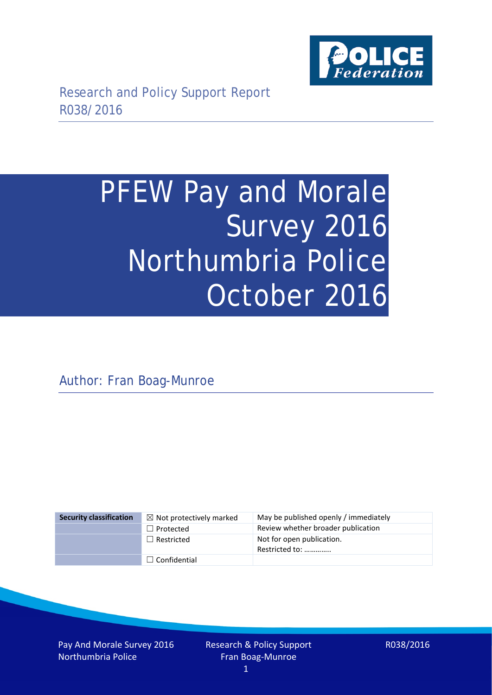

# PFEW Pay and Morale Survey 2016 Northumbria Police October 2016

Author: Fran Boag-Munroe

| <b>Security classification</b> | $\boxtimes$ Not protectively marked | May be published openly / immediately       |
|--------------------------------|-------------------------------------|---------------------------------------------|
|                                | $\Box$ Protected                    | Review whether broader publication          |
|                                | $\Box$ Restricted                   | Not for open publication.<br>Restricted to: |
|                                | $\Box$ Confidential                 |                                             |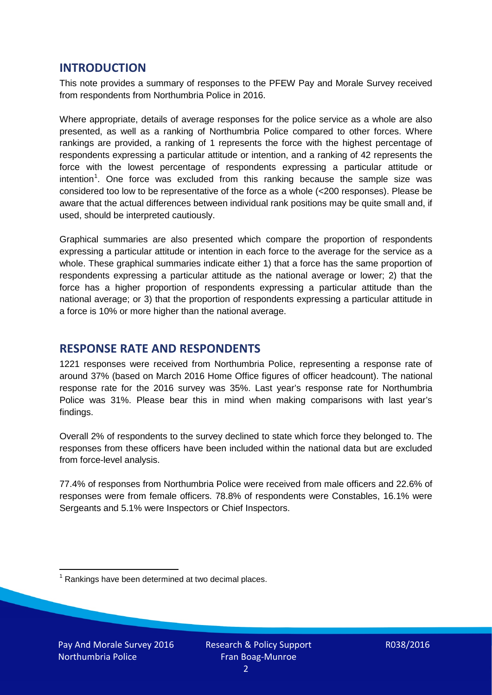### **INTRODUCTION**

This note provides a summary of responses to the PFEW Pay and Morale Survey received from respondents from Northumbria Police in 2016.

Where appropriate, details of average responses for the police service as a whole are also presented, as well as a ranking of Northumbria Police compared to other forces. Where rankings are provided, a ranking of 1 represents the force with the highest percentage of respondents expressing a particular attitude or intention, and a ranking of 42 represents the force with the lowest percentage of respondents expressing a particular attitude or intention<sup>[1](#page-1-0)</sup>. One force was excluded from this ranking because the sample size was considered too low to be representative of the force as a whole (<200 responses). Please be aware that the actual differences between individual rank positions may be quite small and, if used, should be interpreted cautiously.

Graphical summaries are also presented which compare the proportion of respondents expressing a particular attitude or intention in each force to the average for the service as a whole. These graphical summaries indicate either 1) that a force has the same proportion of respondents expressing a particular attitude as the national average or lower; 2) that the force has a higher proportion of respondents expressing a particular attitude than the national average; or 3) that the proportion of respondents expressing a particular attitude in a force is 10% or more higher than the national average.

# **RESPONSE RATE AND RESPONDENTS**

1221 responses were received from Northumbria Police, representing a response rate of around 37% (based on March 2016 Home Office figures of officer headcount). The national response rate for the 2016 survey was 35%. Last year's response rate for Northumbria Police was 31%. Please bear this in mind when making comparisons with last year's findings.

Overall 2% of respondents to the survey declined to state which force they belonged to. The responses from these officers have been included within the national data but are excluded from force-level analysis.

77.4% of responses from Northumbria Police were received from male officers and 22.6% of responses were from female officers. 78.8% of respondents were Constables, 16.1% were Sergeants and 5.1% were Inspectors or Chief Inspectors.

<span id="page-1-0"></span> $1$  Rankings have been determined at two decimal places.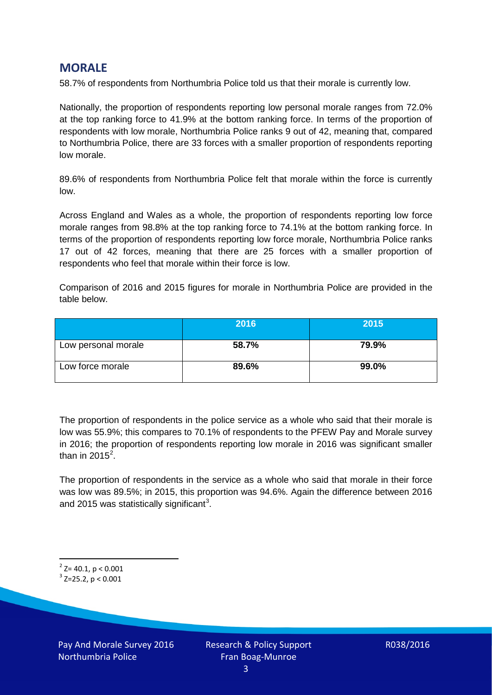# **MORALE**

58.7% of respondents from Northumbria Police told us that their morale is currently low.

Nationally, the proportion of respondents reporting low personal morale ranges from 72.0% at the top ranking force to 41.9% at the bottom ranking force. In terms of the proportion of respondents with low morale, Northumbria Police ranks 9 out of 42, meaning that, compared to Northumbria Police, there are 33 forces with a smaller proportion of respondents reporting low morale.

89.6% of respondents from Northumbria Police felt that morale within the force is currently low.

Across England and Wales as a whole, the proportion of respondents reporting low force morale ranges from 98.8% at the top ranking force to 74.1% at the bottom ranking force. In terms of the proportion of respondents reporting low force morale, Northumbria Police ranks 17 out of 42 forces, meaning that there are 25 forces with a smaller proportion of respondents who feel that morale within their force is low.

Comparison of 2016 and 2015 figures for morale in Northumbria Police are provided in the table below.

|                     | 2016  | 2015  |
|---------------------|-------|-------|
| Low personal morale | 58.7% | 79.9% |
| Low force morale    | 89.6% | 99.0% |

The proportion of respondents in the police service as a whole who said that their morale is low was 55.9%; this compares to 70.1% of respondents to the PFEW Pay and Morale survey in 2016; the proportion of respondents reporting low morale in 2016 was significant smaller than in [2](#page-2-0)015 $^2$ .

The proportion of respondents in the service as a whole who said that morale in their force was low was 89.5%; in 2015, this proportion was 94.6%. Again the difference between 2016 and 2015 was statistically significant<sup>[3](#page-2-1)</sup>.

<span id="page-2-0"></span> $2$ <sup>2</sup> Z= 40.1, p < 0.001

<span id="page-2-1"></span> $3$  Z=25.2, p < 0.001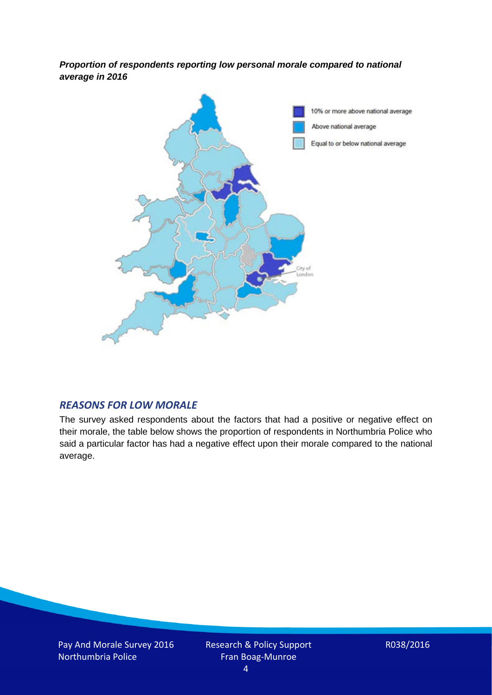*Proportion of respondents reporting low personal morale compared to national average in 2016*



#### *REASONS FOR LOW MORALE*

The survey asked respondents about the factors that had a positive or negative effect on their morale, the table below shows the proportion of respondents in Northumbria Police who said a particular factor has had a negative effect upon their morale compared to the national average.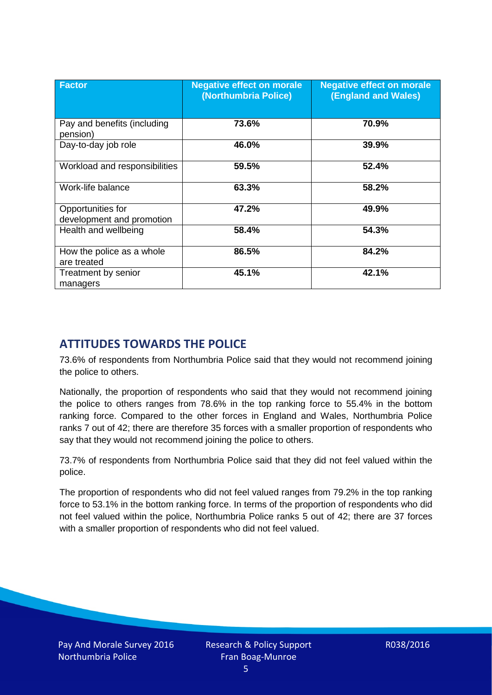| <b>Factor</b>                                  | <b>Negative effect on morale</b><br>(Northumbria Police) | <b>Negative effect on morale</b><br>(England and Wales) |
|------------------------------------------------|----------------------------------------------------------|---------------------------------------------------------|
| Pay and benefits (including<br>pension)        | 73.6%                                                    | 70.9%                                                   |
| Day-to-day job role                            | 46.0%                                                    | 39.9%                                                   |
| Workload and responsibilities                  | 59.5%                                                    | 52.4%                                                   |
| Work-life balance                              | 63.3%                                                    | 58.2%                                                   |
| Opportunities for<br>development and promotion | 47.2%                                                    | 49.9%                                                   |
| Health and wellbeing                           | 58.4%                                                    | 54.3%                                                   |
| How the police as a whole<br>are treated       | 86.5%                                                    | 84.2%                                                   |
| Treatment by senior<br>managers                | 45.1%                                                    | 42.1%                                                   |

# **ATTITUDES TOWARDS THE POLICE**

73.6% of respondents from Northumbria Police said that they would not recommend joining the police to others.

Nationally, the proportion of respondents who said that they would not recommend joining the police to others ranges from 78.6% in the top ranking force to 55.4% in the bottom ranking force. Compared to the other forces in England and Wales, Northumbria Police ranks 7 out of 42; there are therefore 35 forces with a smaller proportion of respondents who say that they would not recommend joining the police to others.

73.7% of respondents from Northumbria Police said that they did not feel valued within the police.

The proportion of respondents who did not feel valued ranges from 79.2% in the top ranking force to 53.1% in the bottom ranking force. In terms of the proportion of respondents who did not feel valued within the police, Northumbria Police ranks 5 out of 42; there are 37 forces with a smaller proportion of respondents who did not feel valued.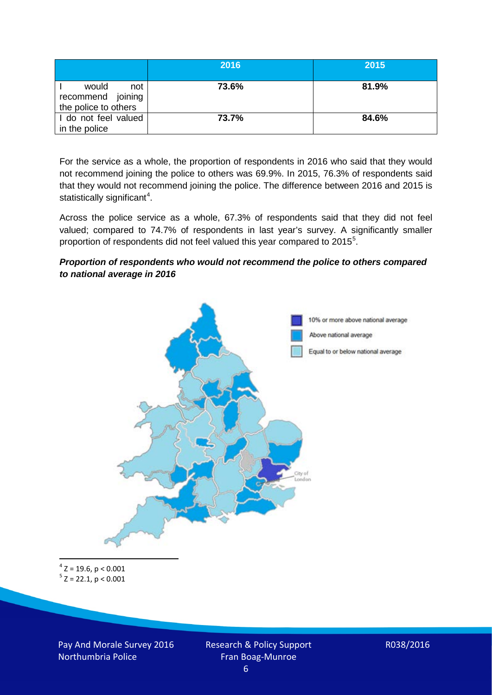|                                                           | 2016  | 2015  |
|-----------------------------------------------------------|-------|-------|
| would<br>not<br>recommend joining<br>the police to others | 73.6% | 81.9% |
| I do not feel valued<br>in the police                     | 73.7% | 84.6% |

For the service as a whole, the proportion of respondents in 2016 who said that they would not recommend joining the police to others was 69.9%. In 2015, 76.3% of respondents said that they would not recommend joining the police. The difference between 2016 and 2015 is statistically significant<sup>[4](#page-5-0)</sup>.

Across the police service as a whole, 67.3% of respondents said that they did not feel valued; compared to 74.7% of respondents in last year's survey. A significantly smaller proportion of respondents did not feel valued this year compared to 201[5](#page-5-1)<sup>5</sup>.

#### *Proportion of respondents who would not recommend the police to others compared to national average in 2016*



<span id="page-5-1"></span><span id="page-5-0"></span> $4$  Z = 19.6, p < 0.001  $5 z = 22.1, p < 0.001$ 

Pay And Morale Survey 2016 Northumbria Police

Research & Policy Support Fran Boag-Munroe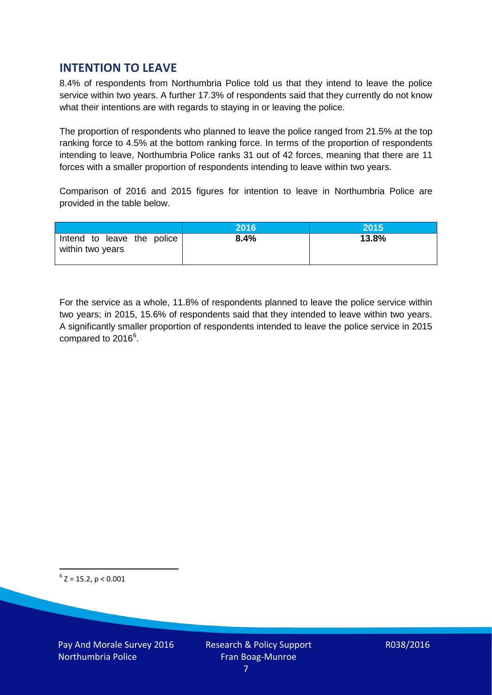# **INTENTION TO LEAVE**

8.4% of respondents from Northumbria Police told us that they intend to leave the police service within two years. A further 17.3% of respondents said that they currently do not know what their intentions are with regards to staying in or leaving the police.

The proportion of respondents who planned to leave the police ranged from 21.5% at the top ranking force to 4.5% at the bottom ranking force. In terms of the proportion of respondents intending to leave, Northumbria Police ranks 31 out of 42 forces, meaning that there are 11 forces with a smaller proportion of respondents intending to leave within two years.

Comparison of 2016 and 2015 figures for intention to leave in Northumbria Police are provided in the table below.

|                                                | 2016 | 2015' |
|------------------------------------------------|------|-------|
| Intend to leave the police<br>within two years | 8.4% | 13.8% |

For the service as a whole, 11.8% of respondents planned to leave the police service within two years; in 2015, 15.6% of respondents said that they intended to leave within two years. A significantly smaller proportion of respondents intended to leave the police service in 2015 compared to 201[6](#page-6-0)<sup>6</sup>.

<span id="page-6-0"></span> $6$  Z = 15.2, p < 0.001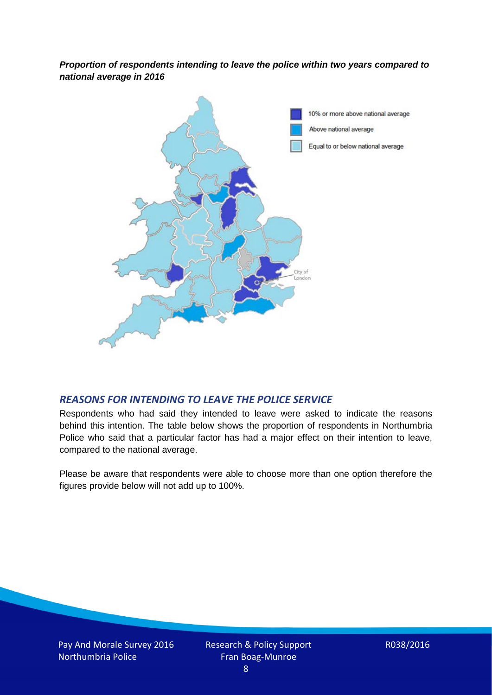*Proportion of respondents intending to leave the police within two years compared to national average in 2016*



#### *REASONS FOR INTENDING TO LEAVE THE POLICE SERVICE*

Respondents who had said they intended to leave were asked to indicate the reasons behind this intention. The table below shows the proportion of respondents in Northumbria Police who said that a particular factor has had a major effect on their intention to leave, compared to the national average.

Please be aware that respondents were able to choose more than one option therefore the figures provide below will not add up to 100%.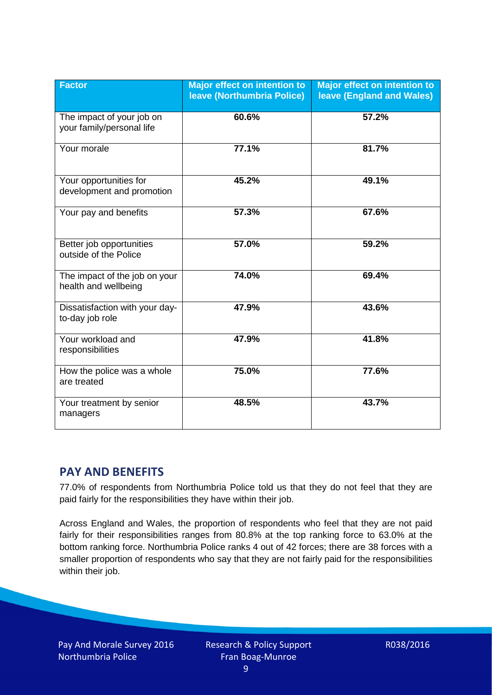| <b>Factor</b>                                          | <b>Major effect on intention to</b><br>leave (Northumbria Police) | <b>Major effect on intention to</b><br><b>leave (England and Wales)</b> |
|--------------------------------------------------------|-------------------------------------------------------------------|-------------------------------------------------------------------------|
| The impact of your job on<br>your family/personal life | 60.6%                                                             | 57.2%                                                                   |
| Your morale                                            | 77.1%                                                             | 81.7%                                                                   |
| Your opportunities for<br>development and promotion    | 45.2%                                                             | 49.1%                                                                   |
| Your pay and benefits                                  | 57.3%                                                             | 67.6%                                                                   |
| Better job opportunities<br>outside of the Police      | 57.0%                                                             | 59.2%                                                                   |
| The impact of the job on your<br>health and wellbeing  | 74.0%                                                             | 69.4%                                                                   |
| Dissatisfaction with your day-<br>to-day job role      | 47.9%                                                             | 43.6%                                                                   |
| Your workload and<br>responsibilities                  | 47.9%                                                             | 41.8%                                                                   |
| How the police was a whole<br>are treated              | 75.0%                                                             | 77.6%                                                                   |
| Your treatment by senior<br>managers                   | 48.5%                                                             | 43.7%                                                                   |

# **PAY AND BENEFITS**

77.0% of respondents from Northumbria Police told us that they do not feel that they are paid fairly for the responsibilities they have within their job.

Across England and Wales, the proportion of respondents who feel that they are not paid fairly for their responsibilities ranges from 80.8% at the top ranking force to 63.0% at the bottom ranking force. Northumbria Police ranks 4 out of 42 forces; there are 38 forces with a smaller proportion of respondents who say that they are not fairly paid for the responsibilities within their job.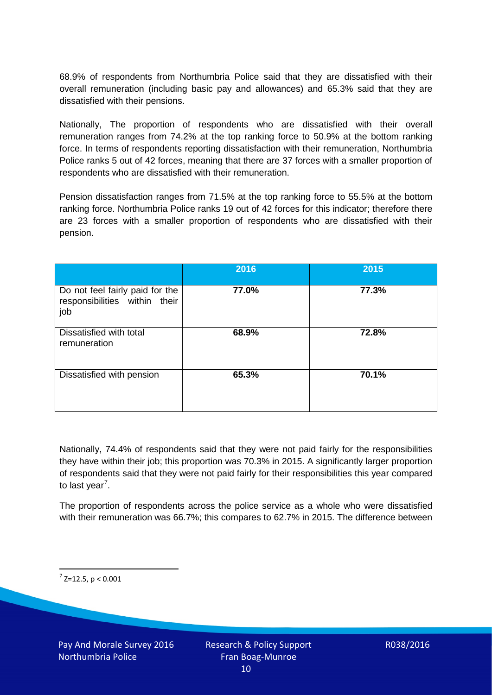68.9% of respondents from Northumbria Police said that they are dissatisfied with their overall remuneration (including basic pay and allowances) and 65.3% said that they are dissatisfied with their pensions.

Nationally, The proportion of respondents who are dissatisfied with their overall remuneration ranges from 74.2% at the top ranking force to 50.9% at the bottom ranking force. In terms of respondents reporting dissatisfaction with their remuneration, Northumbria Police ranks 5 out of 42 forces, meaning that there are 37 forces with a smaller proportion of respondents who are dissatisfied with their remuneration.

Pension dissatisfaction ranges from 71.5% at the top ranking force to 55.5% at the bottom ranking force. Northumbria Police ranks 19 out of 42 forces for this indicator; therefore there are 23 forces with a smaller proportion of respondents who are dissatisfied with their pension.

|                                                                         | 2016  | 2015  |
|-------------------------------------------------------------------------|-------|-------|
| Do not feel fairly paid for the<br>responsibilities within their<br>job | 77.0% | 77.3% |
| Dissatisfied with total<br>remuneration                                 | 68.9% | 72.8% |
| Dissatisfied with pension                                               | 65.3% | 70.1% |

Nationally, 74.4% of respondents said that they were not paid fairly for the responsibilities they have within their job; this proportion was 70.3% in 2015. A significantly larger proportion of respondents said that they were not paid fairly for their responsibilities this year compared to last year<sup>[7](#page-9-0)</sup>.

The proportion of respondents across the police service as a whole who were dissatisfied with their remuneration was 66.7%; this compares to 62.7% in 2015. The difference between

<span id="page-9-0"></span> $7$  Z=12.5, p < 0.001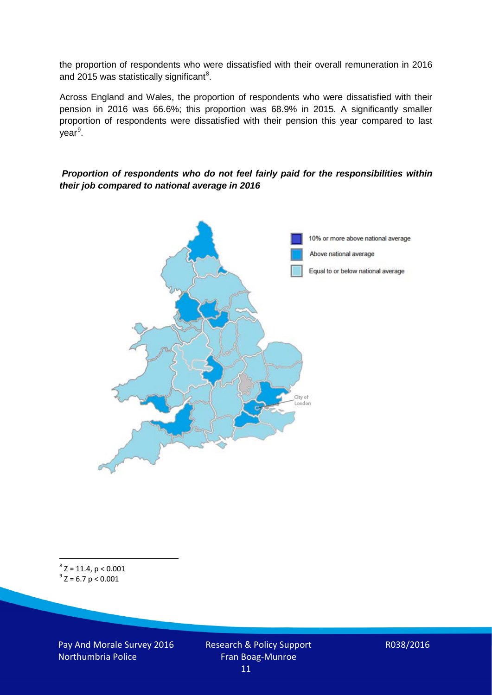the proportion of respondents who were dissatisfied with their overall remuneration in 2016 and 2015 was statistically significant<sup>[8](#page-10-0)</sup>.

Across England and Wales, the proportion of respondents who were dissatisfied with their pension in 2016 was 66.6%; this proportion was 68.9% in 2015. A significantly smaller proportion of respondents were dissatisfied with their pension this year compared to last year<sup>[9](#page-10-1)</sup>.

#### *Proportion of respondents who do not feel fairly paid for the responsibilities within their job compared to national average in 2016*



<span id="page-10-1"></span><span id="page-10-0"></span> $8$  Z = 11.4, p < 0.001  $9^{\circ}$  Z = 6.7 p < 0.001